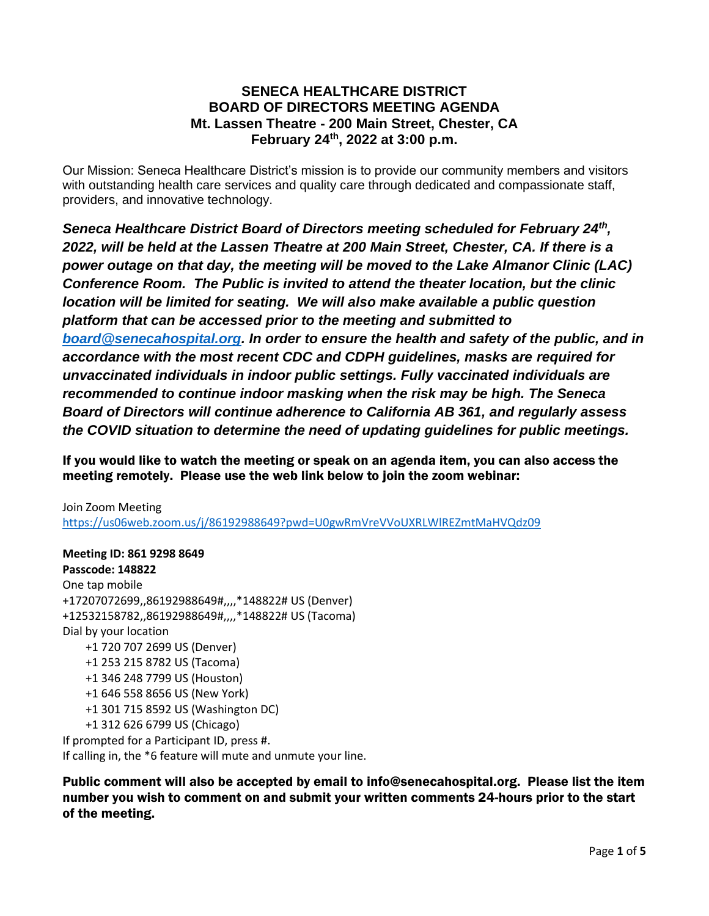## **SENECA HEALTHCARE DISTRICT BOARD OF DIRECTORS MEETING AGENDA Mt. Lassen Theatre - 200 Main Street, Chester, CA February 24th, 2022 at 3:00 p.m.**

Our Mission: Seneca Healthcare District's mission is to provide our community members and visitors with outstanding health care services and quality care through dedicated and compassionate staff, providers, and innovative technology.

*Seneca Healthcare District Board of Directors meeting scheduled for February 24th , 2022, will be held at the Lassen Theatre at [200](https://www.bing.com/local?lid=YN873x10979119402229396056&id=YN873x10979119402229396056&q=Mt.+Lassen+Theatre&name=Mt.+Lassen+Theatre&cp=40.31023025512695%7e-121.22940826416016&ppois=40.31023025512695_-121.22940826416016_Mt.+Lassen+Theatre) Main Street, Chester, CA. If there is a power outage on that day, the meeting will be moved to the Lake Almanor Clinic (LAC) Conference Room. The Public is invited to attend the theater location, but the clinic location will be limited for seating. We will also make available a public question platform that can be accessed prior to the meeting and submitted to [board@senecahospital.org.](mailto:board@senecahospital.org) In order to ensure the health and safety of the public, and in accordance with the most recent CDC and CDPH guidelines, masks are required for unvaccinated individuals in indoor public settings. Fully vaccinated individuals are recommended to continue indoor masking when the risk may be high. The Seneca Board of Directors will continue adherence to California AB 361, and regularly assess the COVID situation to determine the need of updating guidelines for public meetings.*

If you would like to watch the meeting or speak on an agenda item, you can also access the meeting remotely. Please use the web link below to join the zoom webinar:

Join Zoom Meeting <https://us06web.zoom.us/j/86192988649?pwd=U0gwRmVreVVoUXRLWlREZmtMaHVQdz09>

**Meeting ID: 861 9298 8649 Passcode: 148822** One tap mobile +17207072699,,86192988649#,,,,\*148822# US (Denver) +12532158782,,86192988649#,,,,\*148822# US (Tacoma) Dial by your location +1 720 707 2699 US (Denver) +1 253 215 8782 US (Tacoma) +1 346 248 7799 US (Houston) +1 646 558 8656 US (New York) +1 301 715 8592 US (Washington DC) +1 312 626 6799 US (Chicago) If prompted for a Participant ID, press #. If calling in, the \*6 feature will mute and unmute your line.

Public comment will also be accepted by email to info@senecahospital.org. Please list the item number you wish to comment on and submit your written comments 24-hours prior to the start of the meeting.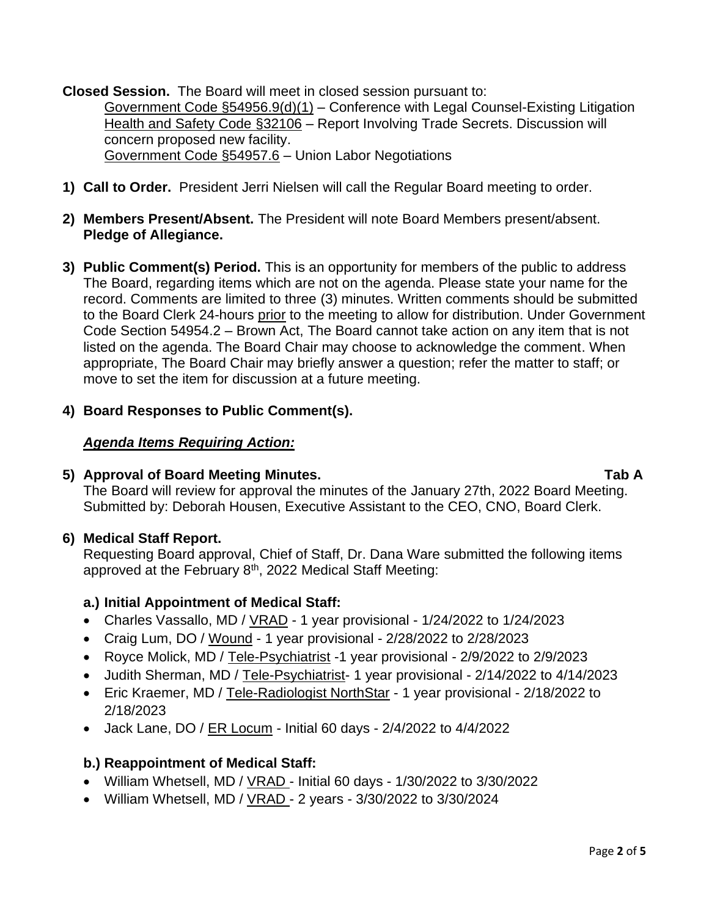**Closed Session.** The Board will meet in closed session pursuant to: Government Code §54956.9(d)(1) – Conference with Legal Counsel-Existing Litigation Health and Safety Code §32106 – Report Involving Trade Secrets. Discussion will concern proposed new facility. Government Code §54957.6 – Union Labor Negotiations

- **1) Call to Order.** President Jerri Nielsen will call the Regular Board meeting to order.
- **2) Members Present/Absent.** The President will note Board Members present/absent. **Pledge of Allegiance.**
- **3) Public Comment(s) Period.** This is an opportunity for members of the public to address The Board, regarding items which are not on the agenda. Please state your name for the record. Comments are limited to three (3) minutes. Written comments should be submitted to the Board Clerk 24-hours prior to the meeting to allow for distribution. Under Government Code Section 54954.2 – Brown Act, The Board cannot take action on any item that is not listed on the agenda. The Board Chair may choose to acknowledge the comment. When appropriate, The Board Chair may briefly answer a question; refer the matter to staff; or move to set the item for discussion at a future meeting.
- **4) Board Responses to Public Comment(s).**

## *Agenda Items Requiring Action:*

#### **5) Approval of Board Meeting Minutes. Tab A**

The Board will review for approval the minutes of the January 27th, 2022 Board Meeting. Submitted by: Deborah Housen, Executive Assistant to the CEO, CNO, Board Clerk.

## **6) Medical Staff Report.**

Requesting Board approval, Chief of Staff, Dr. Dana Ware submitted the following items approved at the February 8<sup>th</sup>, 2022 Medical Staff Meeting:

## **a.) Initial Appointment of Medical Staff:**

- Charles Vassallo, MD / VRAD 1 year provisional 1/24/2022 to 1/24/2023
- Craig Lum, DO / Wound 1 year provisional 2/28/2022 to 2/28/2023
- Royce Molick, MD / Tele-Psychiatrist -1 year provisional 2/9/2022 to 2/9/2023
- Judith Sherman, MD / Tele-Psychiatrist- 1 year provisional 2/14/2022 to 4/14/2023
- Eric Kraemer, MD / Tele-Radiologist NorthStar 1 year provisional 2/18/2022 to 2/18/2023
- Jack Lane, DO / ER Locum Initial 60 days 2/4/2022 to 4/4/2022

## **b.) Reappointment of Medical Staff:**

- William Whetsell, MD /  $VRAD -$  Initial 60 days 1/30/2022 to 3/30/2022
- William Whetsell, MD /  $VRAD 2$  years 3/30/2022 to 3/30/2024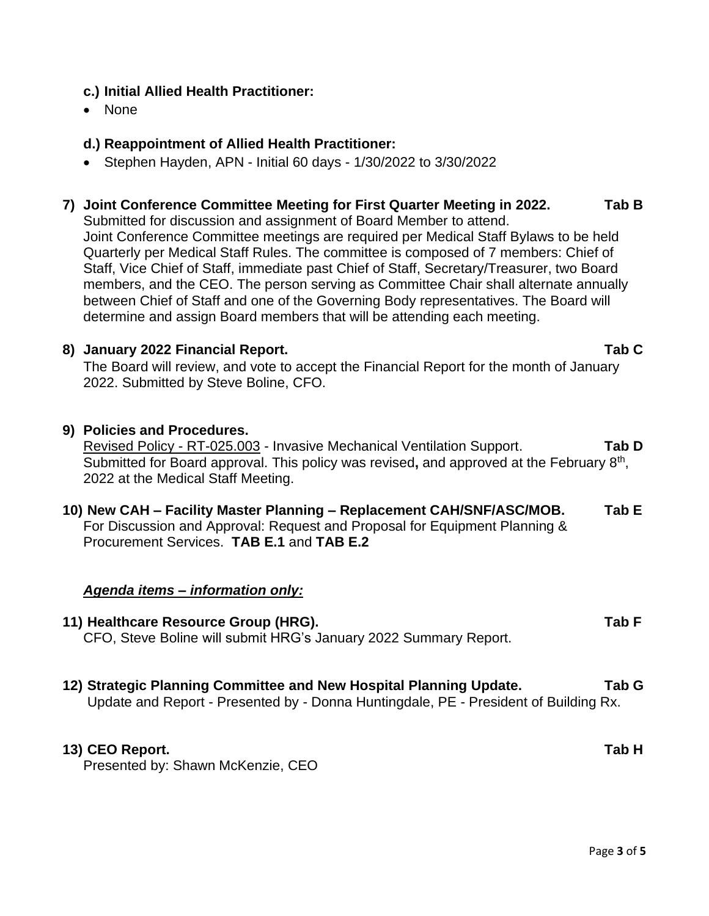## **c.) Initial Allied Health Practitioner:**

• None

## **d.) Reappointment of Allied Health Practitioner:**

• Stephen Hayden, APN - Initial 60 days - 1/30/2022 to 3/30/2022

## **7) Joint Conference Committee Meeting for First Quarter Meeting in 2022. Tab B**

Submitted for discussion and assignment of Board Member to attend. Joint Conference Committee meetings are required per Medical Staff Bylaws to be held Quarterly per Medical Staff Rules. The committee is composed of 7 members: Chief of Staff, Vice Chief of Staff, immediate past Chief of Staff, Secretary/Treasurer, two Board members, and the CEO. The person serving as Committee Chair shall alternate annually between Chief of Staff and one of the Governing Body representatives. The Board will determine and assign Board members that will be attending each meeting.

#### **8) January 2022 Financial Report. Tab C**

The Board will review, and vote to accept the Financial Report for the month of January 2022. Submitted by Steve Boline, CFO.

- **9) Policies and Procedures.** Revised Policy - RT-025.003 - Invasive Mechanical Ventilation Support. **Tab D** Submitted for Board approval. This policy was revised, and approved at the February 8<sup>th</sup>, 2022 at the Medical Staff Meeting.
- **10) New CAH – Facility Master Planning – Replacement CAH/SNF/ASC/MOB. Tab E** For Discussion and Approval: Request and Proposal for Equipment Planning & Procurement Services. **TAB E.1** and **TAB E.2**

#### *Agenda items – information only:*

- **11) Healthcare Resource Group (HRG). Tab F** CFO, Steve Boline will submit HRG's January 2022 Summary Report.
- **12) Strategic Planning Committee and New Hospital Planning Update. Tab G** Update and Report - Presented by - Donna Huntingdale, PE - President of Building Rx.

#### **13) CEO Report. Tab H**

Presented by: Shawn McKenzie, CEO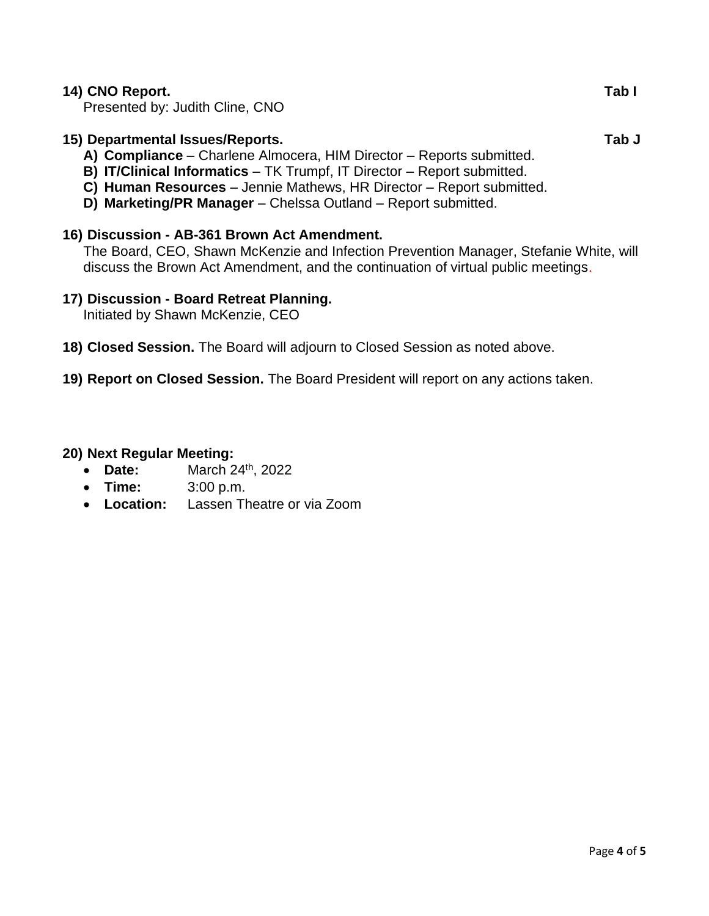## **14) CNO Report. Tab I**

Presented by: Judith Cline, CNO

## **15) Departmental Issues/Reports. Tab J**

- **A) Compliance** Charlene Almocera, HIM Director Reports submitted.
- **B) IT/Clinical Informatics** TK Trumpf, IT Director Report submitted.
- **C) Human Resources** Jennie Mathews, HR Director Report submitted.
- **D) Marketing/PR Manager**  Chelssa Outland Report submitted.

## **16) Discussion - AB-361 Brown Act Amendment.**

The Board, CEO, Shawn McKenzie and Infection Prevention Manager, Stefanie White, will discuss the Brown Act Amendment, and the continuation of virtual public meetings.

#### **17) Discussion - Board Retreat Planning.**

Initiated by Shawn McKenzie, CEO

- **18) Closed Session.** The Board will adjourn to Closed Session as noted above.
- **19) Report on Closed Session.** The Board President will report on any actions taken.

#### **20) Next Regular Meeting:**

- **Date:** March 24<sup>th</sup>, 2022
- **Time:** 3:00 p.m.
- **Location:** Lassen Theatre or via Zoom